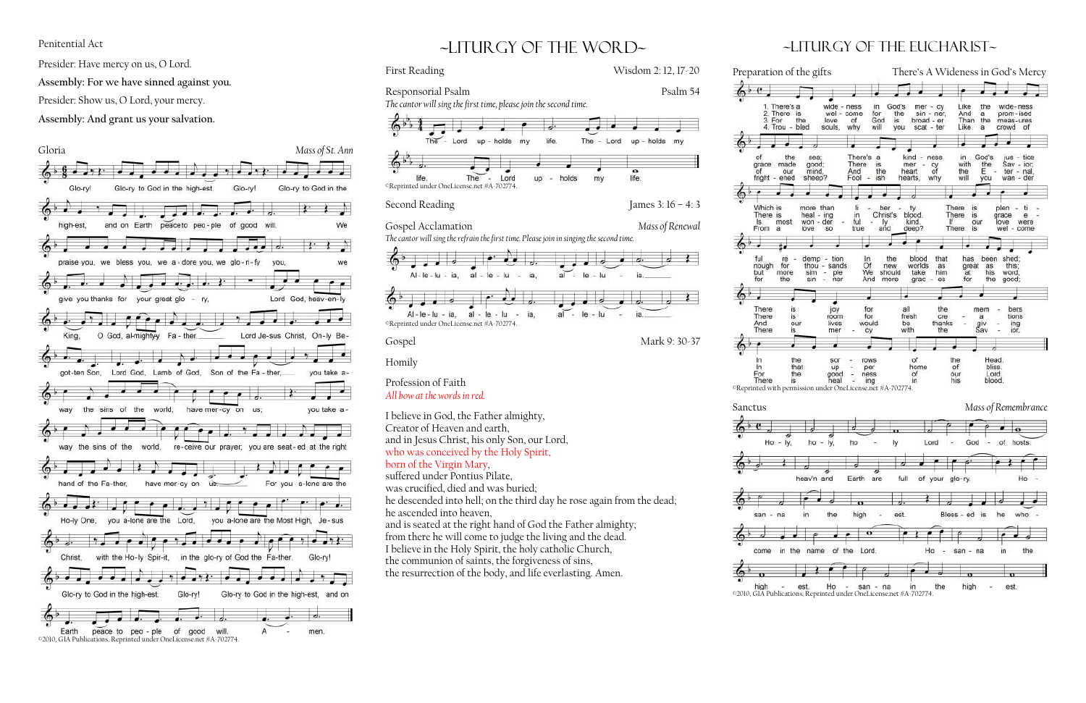#### Penitential Act

Presider: Have mercy on us, O Lord.

**Assembly: For we have sinned against you.**

Presider: Show us, O Lord, your mercy.

**Assembly: And grant us your salvation.**



# ~liturgy of the word~





 $60c$ 



### $\sim$ LITURGY OF THE EUCHARIST $\sim$